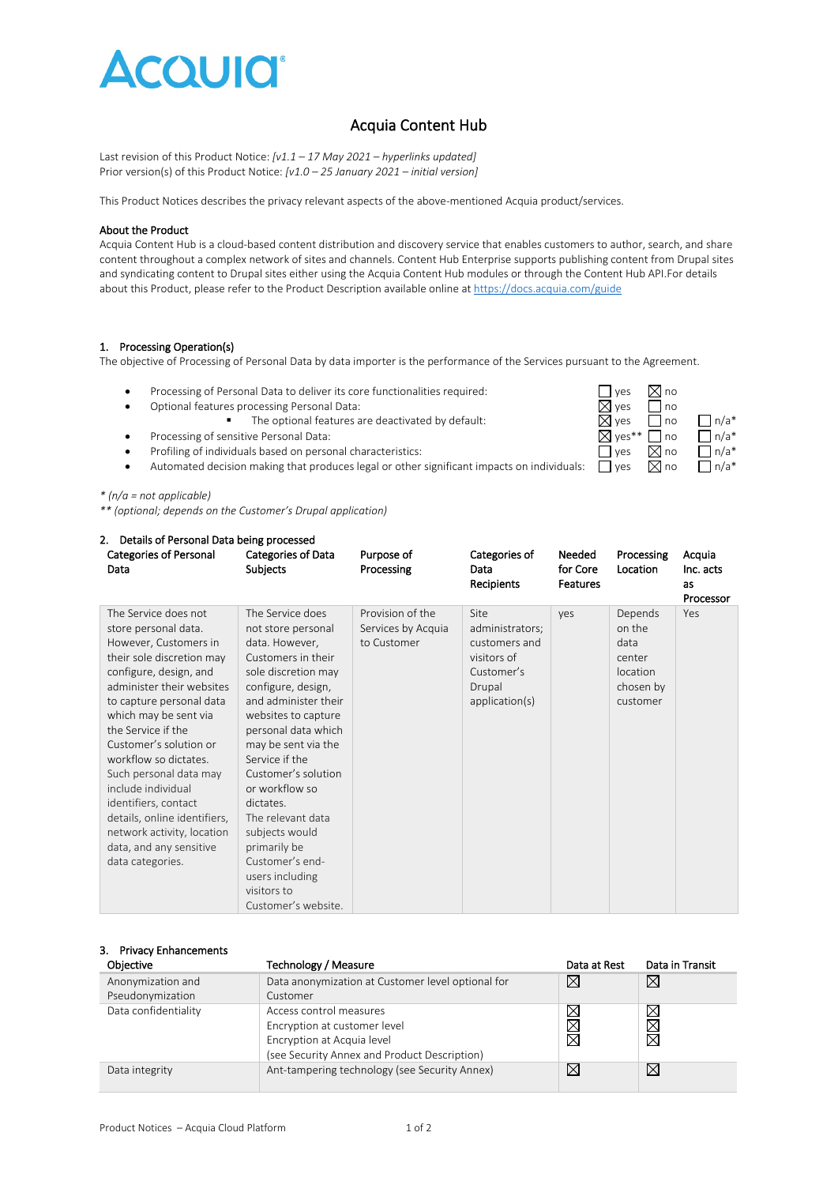

# Acquia Content Hub

Last revision of this Product Notice: *[v1.1 – 17 May 2021 – hyperlinks updated]* Prior version(s) of this Product Notice: *[v1.0 – 25 January 2021 – initial version]*

This Product Notices describes the privacy relevant aspects of the above-mentioned Acquia product/services.

#### About the Product

Acquia Content Hub is a cloud-based content distribution and discovery service that enables customers to author, search, and share content throughout a complex network of sites and channels. Content Hub Enterprise supports publishing content from Drupal sites and syndicating content to Drupal sites either using the Acquia Content Hub modules or through the Content Hub API.For details about this Product, please refer to the Product Description available online a[t https://docs.acquia.com/guide](https://docs.acquia.com/guide)

#### 1. Processing Operation(s)

The objective of Processing of Personal Data by data importer is the performance of the Services pursuant to the Agreement.

- Processing of Personal Data to deliver its core functionalities required:  $\Box$  yes  $\Box$  yes  $\Box$  no
- 
- Optional features processing Personal Data:  $\Box$  yes  $\Box$  no<br>
The optional features are deactivated by default:  $\Box$  yes  $\Box$  no
- Processing of sensitive Personal Data:  $\Box$  no  $\Box$  n/a\*
- Profiling of individuals based on personal characteristics:  $\Box$  yes  $\Box$  and  $\Box$  n/a\*
- Automated decision making that produces legal or other significant impacts on individuals:  $\Box$  yes  $\Box$  no  $\Box$  n/a\*

*\* (n/a = not applicable)*

*\*\* (optional; depends on the Customer's Drupal application)*

| 2. Details of Personal Data being processed                                                                                                                                                                                                                                                                                                                                                                                                                                  |                                                                                                                                                                                                                                                                                                                                                                                                                                     |                                                       |                                                                                                   |                                |                                                                          |                                        |
|------------------------------------------------------------------------------------------------------------------------------------------------------------------------------------------------------------------------------------------------------------------------------------------------------------------------------------------------------------------------------------------------------------------------------------------------------------------------------|-------------------------------------------------------------------------------------------------------------------------------------------------------------------------------------------------------------------------------------------------------------------------------------------------------------------------------------------------------------------------------------------------------------------------------------|-------------------------------------------------------|---------------------------------------------------------------------------------------------------|--------------------------------|--------------------------------------------------------------------------|----------------------------------------|
| <b>Categories of Personal</b><br>Data                                                                                                                                                                                                                                                                                                                                                                                                                                        | Categories of Data<br><b>Subjects</b>                                                                                                                                                                                                                                                                                                                                                                                               | Purpose of<br>Processing                              | Categories of<br>Data<br>Recipients                                                               | Needed<br>for Core<br>Features | Processing<br>Location                                                   | Acquia<br>Inc. acts<br>as<br>Processor |
| The Service does not<br>store personal data.<br>However, Customers in<br>their sole discretion may<br>configure, design, and<br>administer their websites<br>to capture personal data<br>which may be sent via<br>the Service if the<br>Customer's solution or<br>workflow so dictates.<br>Such personal data may<br>include individual<br>identifiers, contact<br>details, online identifiers,<br>network activity, location<br>data, and any sensitive<br>data categories. | The Service does<br>not store personal<br>data. However,<br>Customers in their<br>sole discretion may<br>configure, design,<br>and administer their<br>websites to capture<br>personal data which<br>may be sent via the<br>Service if the<br>Customer's solution<br>or workflow so<br>dictates.<br>The relevant data<br>subjects would<br>primarily be<br>Customer's end-<br>users including<br>visitors to<br>Customer's website. | Provision of the<br>Services by Acquia<br>to Customer | Site<br>administrators;<br>customers and<br>visitors of<br>Customer's<br>Drupal<br>application(s) | ves                            | Depends<br>on the<br>data<br>center<br>location<br>chosen by<br>customer | Yes                                    |

| <b>Privacy Enhancements</b><br>3.<br>Objective | <b>Technology / Measure</b>                                                                                                           | Data at Rest       | Data in Transit                                                 |
|------------------------------------------------|---------------------------------------------------------------------------------------------------------------------------------------|--------------------|-----------------------------------------------------------------|
| Anonymization and<br>Pseudonymization          | Data anonymization at Customer level optional for<br>Customer                                                                         | $\bowtie$          | $\boxtimes$                                                     |
| Data confidentiality                           | Access control measures<br>Encryption at customer level<br>Encryption at Acquia level<br>(see Security Annex and Product Description) | $\times$<br>X<br>⊠ | $\boxtimes$<br>$\overline{\boxtimes}$<br>$\overline{\boxtimes}$ |
| Data integrity                                 | Ant-tampering technology (see Security Annex)                                                                                         | $\boxtimes$        | ⊠                                                               |